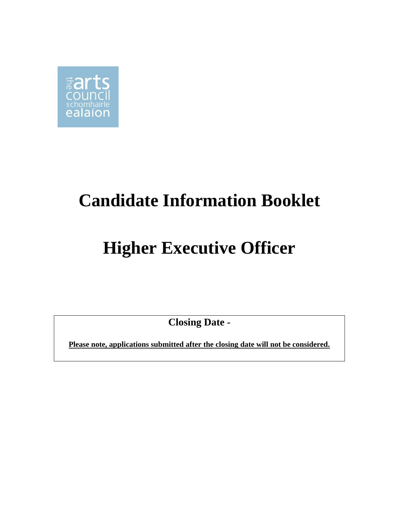

## **Candidate Information Booklet**

# **Higher Executive Officer**

**Closing Date -**

**Please note, applications submitted after the closing date will not be considered.**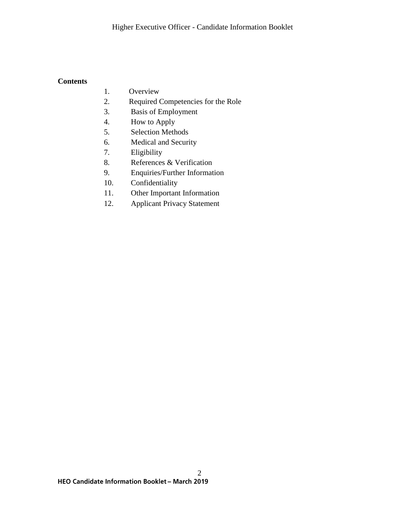#### **Contents**

- 1. Overview
- 2. Required Competencies for the Role
- 3. Basis of Employment
- 4. How to Apply
- 5. Selection Methods
- 6. Medical and Security
- 7. Eligibility
- 8. References & Verification
- 9. Enquiries/Further Information
- 10. Confidentiality
- 11. Other Important Information
- 12. Applicant Privacy Statement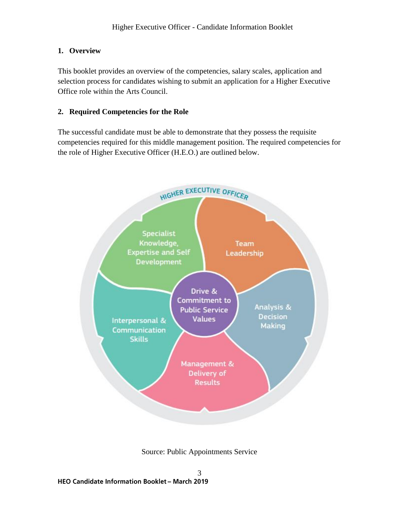## **1. Overview**

This booklet provides an overview of the competencies, salary scales, application and selection process for candidates wishing to submit an application for a Higher Executive Office role within the Arts Council.

## **2. Required Competencies for the Role**

The successful candidate must be able to demonstrate that they possess the requisite competencies required for this middle management position. The required competencies for the role of Higher Executive Officer (H.E.O.) are outlined below.



Source: Public Appointments Service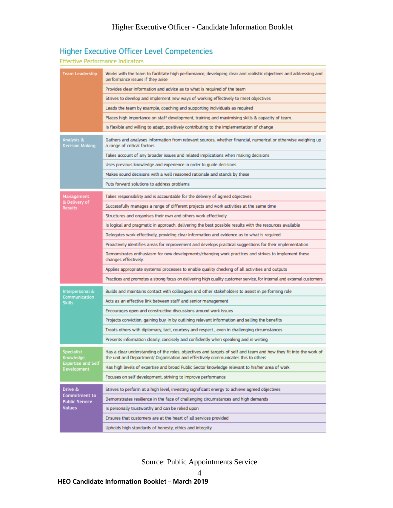## Higher Executive Officer Level Competencies

#### **Effective Performance Indicators**

| Team Leadership                                                                    | Works with the team to facilitate high performance, developing clear and realistic objectives and addressing and<br>performance issues if they arise                                                   |
|------------------------------------------------------------------------------------|--------------------------------------------------------------------------------------------------------------------------------------------------------------------------------------------------------|
|                                                                                    | Provides clear information and advice as to what is required of the team                                                                                                                               |
|                                                                                    | Strives to develop and implement new ways of working effectively to meet objectives                                                                                                                    |
|                                                                                    | Leads the team by example, coaching and supporting individuals as required                                                                                                                             |
|                                                                                    | Places high importance on staff development, training and maximising skills & capacity of team.                                                                                                        |
|                                                                                    | Is flexible and willing to adapt, positively contributing to the implementation of change                                                                                                              |
| Analysis &<br><b>Decision Making</b>                                               | Gathers and analyses information from relevant sources, whether financial, numerical or otherwise weighing up<br>a range of critical factors                                                           |
|                                                                                    | Takes account of any broader issues and related implications when making decisions                                                                                                                     |
|                                                                                    | Uses previous knowledge and experience in order to guide decisions                                                                                                                                     |
|                                                                                    | Makes sound decisions with a well reasoned rationale and stands by these                                                                                                                               |
|                                                                                    | Puts forward solutions to address problems                                                                                                                                                             |
| Management<br>& Delivery of<br>Results                                             | Takes responsibility and is accountable for the delivery of agreed objectives                                                                                                                          |
|                                                                                    | Successfully manages a range of different projects and work activities at the same time                                                                                                                |
|                                                                                    | Structures and organises their own and others work effectively                                                                                                                                         |
|                                                                                    | Is logical and pragmatic in approach, delivering the best possible results with the resources available                                                                                                |
|                                                                                    | Delegates work effectively, providing clear information and evidence as to what is required                                                                                                            |
|                                                                                    | Proactively identifies areas for improvement and develops practical suggestions for their implementation                                                                                               |
|                                                                                    | Demonstrates enthusiasm for new developments/changing work practices and strives to implement these<br>changes effectively.                                                                            |
|                                                                                    | Applies appropriate systems/ processes to enable quality checking of all activities and outputs                                                                                                        |
|                                                                                    | Practices and promotes a strong focus on delivering high quality customer service, for internal and external customers                                                                                 |
| Interpersonal &<br>Communication<br><b>Skills</b>                                  | Builds and maintains contact with colleagues and other stakeholders to assist in performing role                                                                                                       |
|                                                                                    | Acts as an effective link between staff and senior management                                                                                                                                          |
|                                                                                    | Encourages open and constructive discussions around work issues                                                                                                                                        |
|                                                                                    | Projects conviction, gaining buy-in by outlining relevant information and selling the benefits                                                                                                         |
|                                                                                    | Treats others with diplomacy, tact, courtesy and respect , even in challenging circumstances                                                                                                           |
|                                                                                    | Presents information clearly, concisely and confidently when speaking and in writing                                                                                                                   |
| <b>Specialist</b><br>Knowledge,<br><b>Expertise and Self</b><br><b>Development</b> | Has a clear understanding of the roles, objectives and targets of self and team and how they fit into the work of<br>the unit and Department/ Organisation and effectively communicates this to others |
|                                                                                    | Has high levels of expertise and broad Public Sector knowledge relevant to his/her area of work                                                                                                        |
|                                                                                    | Focuses on self development, striving to improve performance                                                                                                                                           |
| Drive &<br><b>Commitment to</b><br><b>Public Service</b><br>Values                 | Strives to perform at a high level, investing significant energy to achieve agreed objectives                                                                                                          |
|                                                                                    | Demonstrates resilience in the face of challenging circumstances and high demands                                                                                                                      |
|                                                                                    | Is personally trustworthy and can be relied upon                                                                                                                                                       |
|                                                                                    | Ensures that customers are at the heart of all services provided                                                                                                                                       |
|                                                                                    | Upholds high standards of honesty, ethics and integrity                                                                                                                                                |

Source: Public Appointments Service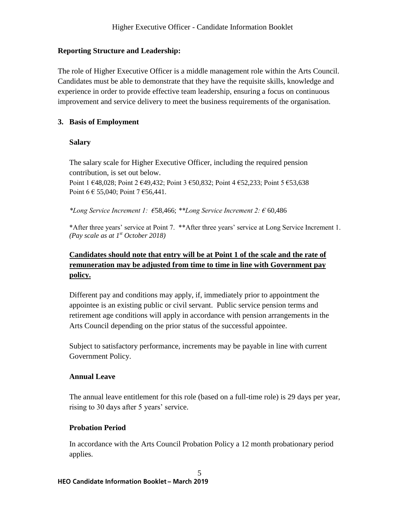## **Reporting Structure and Leadership:**

The role of Higher Executive Officer is a middle management role within the Arts Council. Candidates must be able to demonstrate that they have the requisite skills, knowledge and experience in order to provide effective team leadership, ensuring a focus on continuous improvement and service delivery to meet the business requirements of the organisation.

## **3. Basis of Employment**

#### **Salary**

The salary scale for Higher Executive Officer, including the required pension contribution, is set out below. Point 1 €48,028; Point 2 €49,432; Point 3 €50,832; Point 4 €52,233; Point 5 €53,638 Point  $6 \in 55,040$ ; Point  $7 \in 56,441$ .

*\*Long Service Increment 1: €*58,466; *\*\*Long Service Increment 2: €* 60,486

\*After three years' service at Point 7. \*\*After three years' service at Long Service Increment 1. *(Pay scale as at 1st October 2018)*

## **Candidates should note that entry will be at Point 1 of the scale and the rate of remuneration may be adjusted from time to time in line with Government pay policy.**

Different pay and conditions may apply, if, immediately prior to appointment the appointee is an existing public or civil servant. Public service pension terms and retirement age conditions will apply in accordance with pension arrangements in the Arts Council depending on the prior status of the successful appointee.

Subject to satisfactory performance, increments may be payable in line with current Government Policy.

#### **Annual Leave**

The annual leave entitlement for this role (based on a full-time role) is 29 days per year, rising to 30 days after 5 years' service.

#### **Probation Period**

In accordance with the Arts Council Probation Policy a 12 month probationary period applies.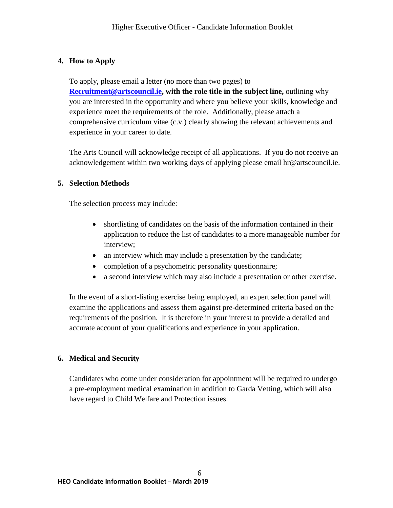## **4. How to Apply**

To apply, please email a letter (no more than two pages) to **[Recruitment@artscouncil.ie,](mailto:Recruitment@artscouncil.ie) with the role title in the subject line,** outlining why you are interested in the opportunity and where you believe your skills, knowledge and experience meet the requirements of the role. Additionally, please attach a comprehensive curriculum vitae (c.v.) clearly showing the relevant achievements and experience in your career to date.

The Arts Council will acknowledge receipt of all applications. If you do not receive an acknowledgement within two working days of applying please email hr@artscouncil.ie.

## **5. Selection Methods**

The selection process may include:

- shortlisting of candidates on the basis of the information contained in their application to reduce the list of candidates to a more manageable number for interview;
- an interview which may include a presentation by the candidate;
- completion of a psychometric personality questionnaire;
- a second interview which may also include a presentation or other exercise.

In the event of a short-listing exercise being employed, an expert selection panel will examine the applications and assess them against pre-determined criteria based on the requirements of the position. It is therefore in your interest to provide a detailed and accurate account of your qualifications and experience in your application.

## **6. Medical and Security**

Candidates who come under consideration for appointment will be required to undergo a pre-employment medical examination in addition to Garda Vetting, which will also have regard to Child Welfare and Protection issues.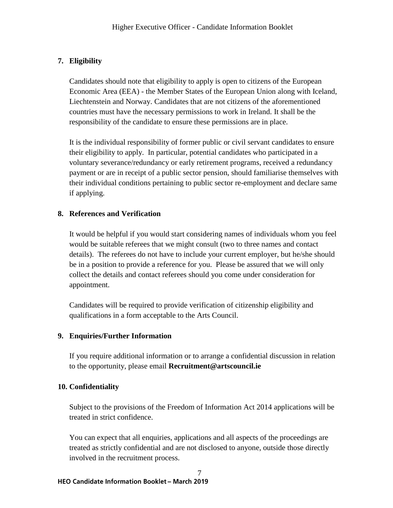## **7. Eligibility**

Candidates should note that eligibility to apply is open to citizens of the European Economic Area (EEA) - the Member States of the European Union along with Iceland, Liechtenstein and Norway. Candidates that are not citizens of the aforementioned countries must have the necessary permissions to work in Ireland. It shall be the responsibility of the candidate to ensure these permissions are in place.

It is the individual responsibility of former public or civil servant candidates to ensure their eligibility to apply. In particular, potential candidates who participated in a voluntary severance/redundancy or early retirement programs, received a redundancy payment or are in receipt of a public sector pension, should familiarise themselves with their individual conditions pertaining to public sector re-employment and declare same if applying.

## **8. References and Verification**

It would be helpful if you would start considering names of individuals whom you feel would be suitable referees that we might consult (two to three names and contact details). The referees do not have to include your current employer, but he/she should be in a position to provide a reference for you. Please be assured that we will only collect the details and contact referees should you come under consideration for appointment.

Candidates will be required to provide verification of citizenship eligibility and qualifications in a form acceptable to the Arts Council.

## **9. Enquiries/Further Information**

If you require additional information or to arrange a confidential discussion in relation to the opportunity, please email **Recruitment@artscouncil.ie**

## **10. Confidentiality**

Subject to the provisions of the Freedom of Information Act 2014 applications will be treated in strict confidence.

You can expect that all enquiries, applications and all aspects of the proceedings are treated as strictly confidential and are not disclosed to anyone, outside those directly involved in the recruitment process.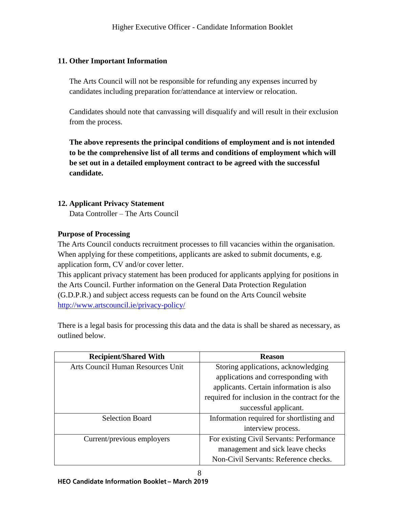## **11. Other Important Information**

The Arts Council will not be responsible for refunding any expenses incurred by candidates including preparation for/attendance at interview or relocation.

Candidates should note that canvassing will disqualify and will result in their exclusion from the process.

**The above represents the principal conditions of employment and is not intended to be the comprehensive list of all terms and conditions of employment which will be set out in a detailed employment contract to be agreed with the successful candidate.**

#### **12. Applicant Privacy Statement**

Data Controller – The Arts Council

#### **Purpose of Processing**

The Arts Council conducts recruitment processes to fill vacancies within the organisation. When applying for these competitions, applicants are asked to submit documents, e.g. application form, CV and/or cover letter.

This applicant privacy statement has been produced for applicants applying for positions in the Arts Council. Further information on the General Data Protection Regulation (G.D.P.R.) and subject access requests can be found on the Arts Council website <http://www.artscouncil.ie/privacy-policy/>

There is a legal basis for processing this data and the data is shall be shared as necessary, as outlined below.

| <b>Recipient/Shared With</b>      | <b>Reason</b>                                  |
|-----------------------------------|------------------------------------------------|
| Arts Council Human Resources Unit | Storing applications, acknowledging            |
|                                   | applications and corresponding with            |
|                                   | applicants. Certain information is also        |
|                                   | required for inclusion in the contract for the |
|                                   | successful applicant.                          |
| <b>Selection Board</b>            | Information required for shortlisting and      |
|                                   | interview process.                             |
| Current/previous employers        | For existing Civil Servants: Performance       |
|                                   | management and sick leave checks               |
|                                   | Non-Civil Servants: Reference checks.          |